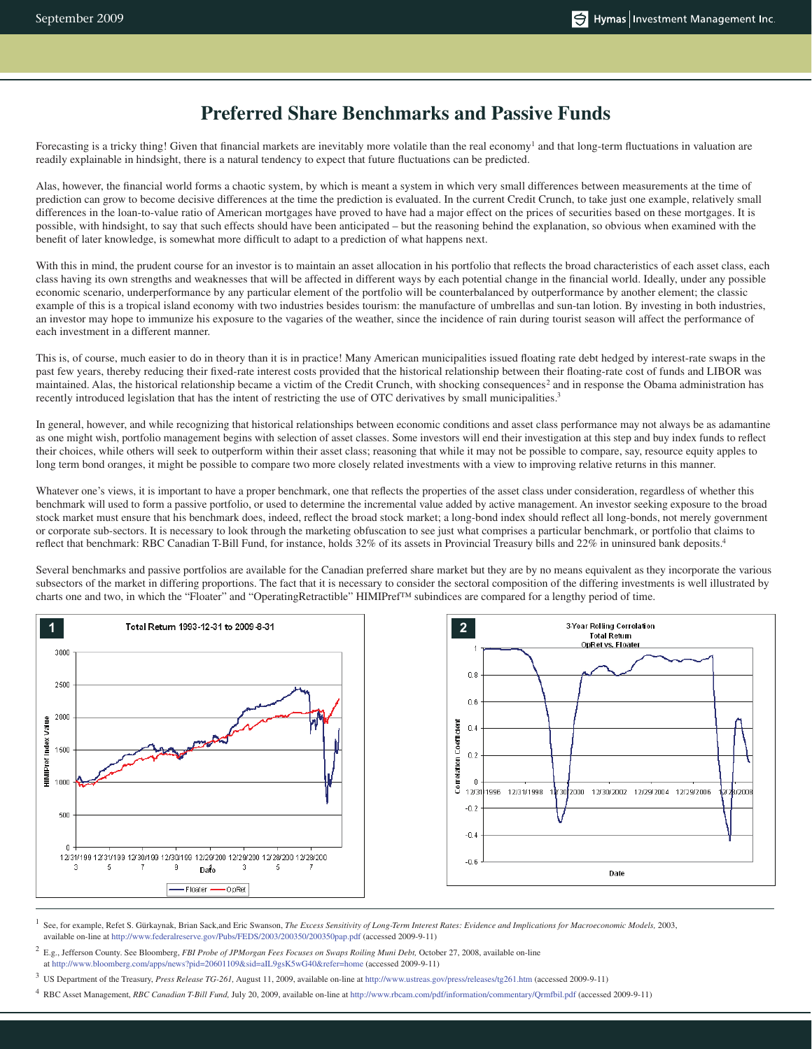# **Preferred Share Benchmarks and Passive Funds**

Forecasting is a tricky thing! Given that financial markets are inevitably more volatile than the real economy<sup>1</sup> and that long-term fluctuations in valuation are readily explainable in hindsight, there is a natural tendency to expect that future fluctuations can be predicted.

Alas, however, the financial world forms a chaotic system, by which is meant a system in which very small differences between measurements at the time of prediction can grow to become decisive differences at the time the prediction is evaluated. In the current Credit Crunch, to take just one example, relatively small differences in the loan-to-value ratio of American mortgages have proved to have had a major effect on the prices of securities based on these mortgages. It is possible, with hindsight, to say that such effects should have been anticipated – but the reasoning behind the explanation, so obvious when examined with the benefit of later knowledge, is somewhat more difficult to adapt to a prediction of what happens next.

With this in mind, the prudent course for an investor is to maintain an asset allocation in his portfolio that reflects the broad characteristics of each asset class, each class having its own strengths and weaknesses that will be affected in different ways by each potential change in the financial world. Ideally, under any possible economic scenario, underperformance by any particular element of the portfolio will be counterbalanced by outperformance by another element; the classic example of this is a tropical island economy with two industries besides tourism: the manufacture of umbrellas and sun-tan lotion. By investing in both industries, an investor may hope to immunize his exposure to the vagaries of the weather, since the incidence of rain during tourist season will affect the performance of each investment in a different manner.

This is, of course, much easier to do in theory than it is in practice! Many American municipalities issued floating rate debt hedged by interest-rate swaps in the past few years, thereby reducing their fixed-rate interest costs provided that the historical relationship between their floating-rate cost of funds and LIBOR was maintained. Alas, the historical relationship became a victim of the Credit Crunch, with shocking consequences<sup>2</sup> and in response the Obama administration has recently introduced legislation that has the intent of restricting the use of OTC derivatives by small municipalities.<sup>3</sup>

In general, however, and while recognizing that historical relationships between economic conditions and asset class performance may not always be as adamantine as one might wish, portfolio management begins with selection of asset classes. Some investors will end their investigation at this step and buy index funds to reflect their choices, while others will seek to outperform within their asset class; reasoning that while it may not be possible to compare, say, resource equity apples to long term bond oranges, it might be possible to compare two more closely related investments with a view to improving relative returns in this manner.

Whatever one's views, it is important to have a proper benchmark, one that reflects the properties of the asset class under consideration, regardless of whether this benchmark will used to form a passive portfolio, or used to determine the incremental value added by active management. An investor seeking exposure to the broad stock market must ensure that his benchmark does, indeed, reflect the broad stock market; a long-bond index should reflect all long-bonds, not merely government or corporate sub-sectors. It is necessary to look through the marketing obfuscation to see just what comprises a particular benchmark, or portfolio that claims to reflect that benchmark: RBC Canadian T-Bill Fund, for instance, holds 32% of its assets in Provincial Treasury bills and 22% in uninsured bank deposits.<sup>4</sup>

Several benchmarks and passive portfolios are available for the Canadian preferred share market but they are by no means equivalent as they incorporate the various subsectors of the market in differing proportions. The fact that it is necessary to consider the sectoral composition of the differing investments is well illustrated by charts one and two, in which the "Floater" and "OperatingRetractible" HIMIPref™ subindices are compared for a lengthy period of time.





1 See, for example, Refet S. Gürkaynak, Brian Sack,and Eric Swanson, *The Excess Sensitivity of Long-Term Interest Rates: Evidence and Implications for Macroeconomic Models,* 2003, available on-line at http://www.federalreserve.gov/Pubs/FEDS/2003/200350/200350pap.pdf (accessed 2009-9-11)

2 E.g., Jefferson County. See Bloomberg, *FBI Probe of JPMorgan Fees Focuses on Swaps Roiling Muni Debt,* October 27, 2008, available on-line at http://www.bloomberg.com/apps/news?pid=20601109&sid=aIL9gsK5wG40&refer=home (accessed 2009-9-11)

3 US Department of the Treasury, *Press Release TG-261,* August 11, 2009, available on-line at http://www.ustreas.gov/press/releases/tg261.htm (accessed 2009-9-11)

4 RBC Asset Management, *RBC Canadian T-Bill Fund,* July 20, 2009, available on-line at http://www.rbcam.com/pdf/information/commentary/Qrmfbil.pdf (accessed 2009-9-11)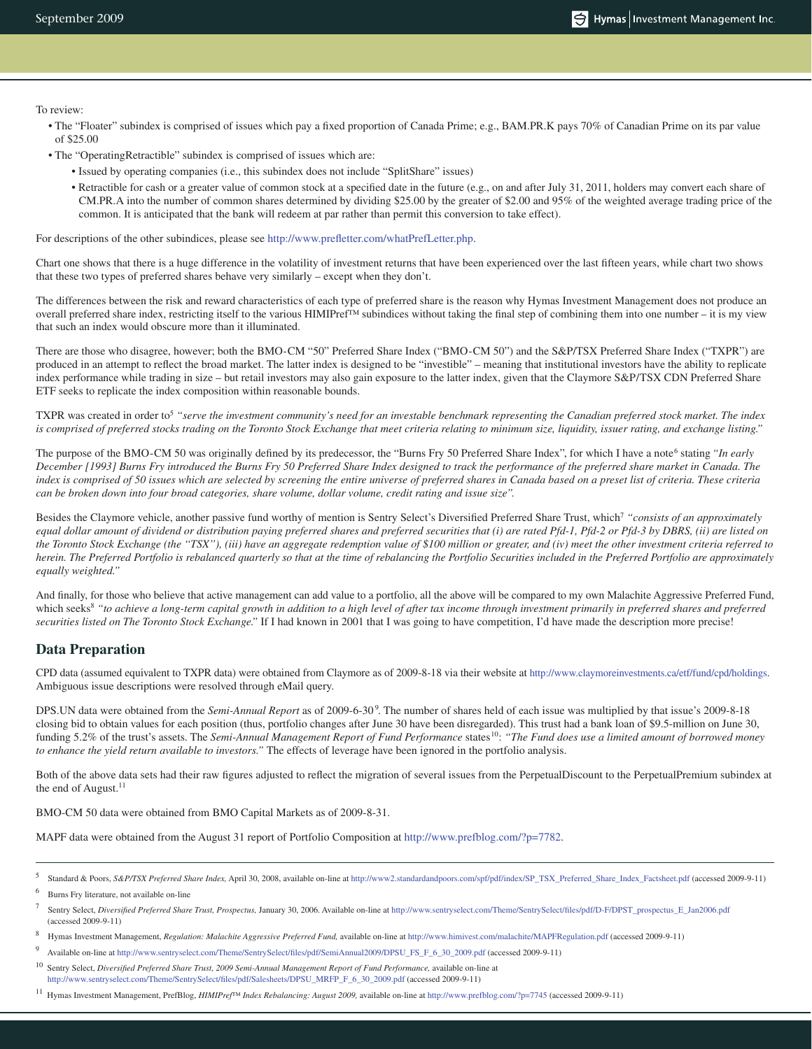To review:

- The "Floater" subindex is comprised of issues which pay a fixed proportion of Canada Prime; e.g., BAM.PR.K pays 70% of Canadian Prime on its par value of \$25.00
- The "OperatingRetractible" subindex is comprised of issues which are:
	- Issued by operating companies (i.e., this subindex does not include "SplitShare" issues)
	- Retractible for cash or a greater value of common stock at a specified date in the future (e.g., on and after July 31, 2011, holders may convert each share of CM.PR.A into the number of common shares determined by dividing \$25.00 by the greater of \$2.00 and 95% of the weighted average trading price of the common. It is anticipated that the bank will redeem at par rather than permit this conversion to take effect).

For descriptions of the other subindices, please see http://www.prefletter.com/whatPrefLetter.php.

Chart one shows that there is a huge difference in the volatility of investment returns that have been experienced over the last fifteen years, while chart two shows that these two types of preferred shares behave very similarly – except when they don't.

The differences between the risk and reward characteristics of each type of preferred share is the reason why Hymas Investment Management does not produce an overall preferred share index, restricting itself to the various HIMIPref™ subindices without taking the final step of combining them into one number – it is my view that such an index would obscure more than it illuminated.

There are those who disagree, however; both the BMO-CM "50" Preferred Share Index ("BMO-CM 50") and the S&P/TSX Preferred Share Index ("TXPR") are produced in an attempt to reflect the broad market. The latter index is designed to be "investible" – meaning that institutional investors have the ability to replicate index performance while trading in size – but retail investors may also gain exposure to the latter index, given that the Claymore S&P/TSX CDN Preferred Share ETF seeks to replicate the index composition within reasonable bounds.

TXPR was created in order to<sup>5</sup> "serve the investment community's need for an investable benchmark representing the Canadian preferred stock market. The index *is comprised of preferred stocks trading on the Toronto Stock Exchange that meet criteria relating to minimum size, liquidity, issuer rating, and exchange listing."*

The purpose of the BMO-CM 50 was originally defined by its predecessor, the "Burns Fry 50 Preferred Share Index", for which I have a note<sup>6</sup> stating "In early *December [1993] Burns Fry introduced the Burns Fry 50 Preferred Share Index designed to track the performance of the preferred share market in Canada. The index is comprised of 50 issues which are selected by screening the entire universe of preferred shares in Canada based on a preset list of criteria. These criteria can be broken down into four broad categories, share volume, dollar volume, credit rating and issue size".*

Besides the Claymore vehicle, another passive fund worthy of mention is Sentry Select's Diversified Preferred Share Trust, which7 *"consists of an approximately equal dollar amount of dividend or distribution paying preferred shares and preferred securities that (i) are rated Pfd-1, Pfd-2 or Pfd-3 by DBRS, (ii) are listed on the Toronto Stock Exchange (the ''TSX''), (iii) have an aggregate redemption value of \$100 million or greater, and (iv) meet the other investment criteria referred to herein. The Preferred Portfolio is rebalanced quarterly so that at the time of rebalancing the Portfolio Securities included in the Preferred Portfolio are approximately equally weighted."*

And finally, for those who believe that active management can add value to a portfolio, all the above will be compared to my own Malachite Aggressive Preferred Fund, which seeks<sup>8</sup> "to achieve a long-term capital growth in addition to a high level of after tax income through investment primarily in preferred shares and preferred *securities listed on The Toronto Stock Exchange."* If I had known in 2001 that I was going to have competition, I'd have made the description more precise!

### **Data Preparation**

CPD data (assumed equivalent to TXPR data) were obtained from Claymore as of 2009-8-18 via their website at http://www.claymoreinvestments.ca/etf/fund/cpd/holdings. Ambiguous issue descriptions were resolved through eMail query.

DPS.UN data were obtained from the *Semi-Annual Report* as of 2009-6-309 . The number of shares held of each issue was multiplied by that issue's 2009-8-18 closing bid to obtain values for each position (thus, portfolio changes after June 30 have been disregarded). This trust had a bank loan of \$9.5-million on June 30, funding 5.2% of the trust's assets. The *Semi-Annual Management Report of Fund Performance* states<sup>10</sup>: "The Fund does use a limited amount of borrowed money *to enhance the yield return available to investors."* The effects of leverage have been ignored in the portfolio analysis.

Both of the above data sets had their raw figures adjusted to reflect the migration of several issues from the PerpetualDiscount to the PerpetualPremium subindex at the end of August.<sup>11</sup>

BMO-CM 50 data were obtained from BMO Capital Markets as of 2009-8-31.

MAPF data were obtained from the August 31 report of Portfolio Composition at http://www.prefblog.com/?p=7782.

11 Hymas Investment Management, PrefBlog, *HIMIPref™ Index Rebalancing: August 2009,* available on-line at http://www.prefblog.com/?p=7745 (accessed 2009-9-11)

<sup>5</sup> Standard & Poors, *S&P/TSX Preferred Share Index,* April 30, 2008, available on-line at http://www2.standardandpoors.com/spf/pdf/index/SP\_TSX\_Preferred\_Share\_Index\_Factsheet.pdf (accessed 2009-9-11)

<sup>6</sup> Burns Fry literature, not available on-line

<sup>7</sup> Sentry Select, *Diversified Preferred Share Trust, Prospectus,* January 30, 2006. Available on-line at http://www.sentryselect.com/Theme/SentrySelect/files/pdf/D-F/DPST\_prospectus\_E\_Jan2006.pdf (accessed 2009-9-11)

<sup>8</sup> Hymas Investment Management, *Regulation: Malachite Aggressive Preferred Fund,* available on-line at http://www.himivest.com/malachite/MAPFRegulation.pdf (accessed 2009-9-11)

<sup>9</sup> Available on-line at http://www.sentryselect.com/Theme/SentrySelect/files/pdf/SemiAnnual2009/DPSU\_FS\_F\_6\_30\_2009.pdf (accessed 2009-9-11)

<sup>10</sup> Sentry Select, *Diversified Preferred Share Trust, 2009 Semi-Annual Management Report of Fund Performance,* available on-line at http://www.sentryselect.com/Theme/SentrySelect/files/pdf/Salesheets/DPSU\_MRFP\_F\_6\_30\_2009.pdf (accessed 2009-9-11)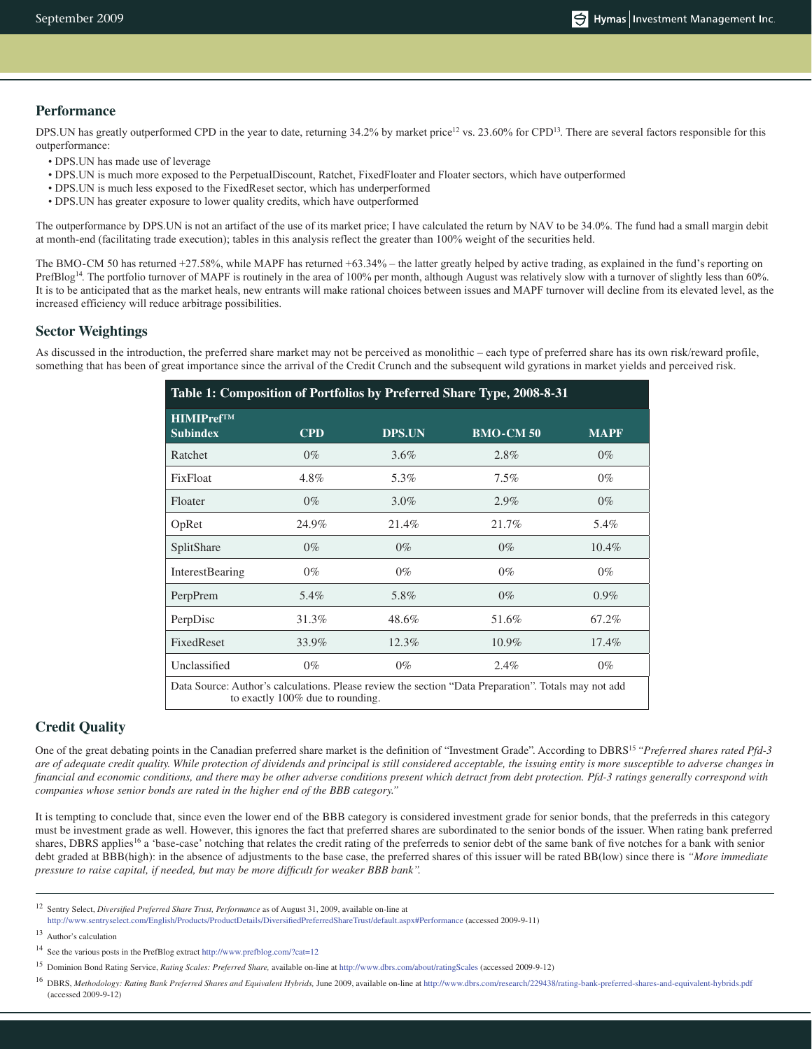#### **Performance**

DPS.UN has greatly outperformed CPD in the year to date, returning 34.2% by market price<sup>12</sup> vs. 23.60% for CPD<sup>13</sup>. There are several factors responsible for this outperformance:

- DPS.UN has made use of leverage
- DPS.UN is much more exposed to the PerpetualDiscount, Ratchet, FixedFloater and Floater sectors, which have outperformed
- DPS.UN is much less exposed to the FixedReset sector, which has underperformed
- DPS.UN has greater exposure to lower quality credits, which have outperformed

The outperformance by DPS.UN is not an artifact of the use of its market price; I have calculated the return by NAV to be 34.0%. The fund had a small margin debit at month-end (facilitating trade execution); tables in this analysis reflect the greater than 100% weight of the securities held.

The BMO-CM 50 has returned +27.58%, while MAPF has returned +63.34% – the latter greatly helped by active trading, as explained in the fund's reporting on PrefBlog<sup>14</sup>. The portfolio turnover of MAPF is routinely in the area of 100% per month, although August was relatively slow with a turnover of slightly less than 60%. It is to be anticipated that as the market heals, new entrants will make rational choices between issues and MAPF turnover will decline from its elevated level, as the increased efficiency will reduce arbitrage possibilities.

#### **Sector Weightings**

As discussed in the introduction, the preferred share market may not be perceived as monolithic – each type of preferred share has its own risk/reward profile, something that has been of great importance since the arrival of the Credit Crunch and the subsequent wild gyrations in market yields and perceived risk.

| <b>HIMIPrefTM</b>      |            |               |                  |             |
|------------------------|------------|---------------|------------------|-------------|
| <b>Subindex</b>        | <b>CPD</b> | <b>DPS.UN</b> | <b>BMO-CM 50</b> | <b>MAPF</b> |
| Ratchet                | $0\%$      | $3.6\%$       | 2.8%             | $0\%$       |
| <b>FixEloat</b>        | 4.8%       | 5.3%          | $7.5\%$          | $0\%$       |
| Floater                | $0\%$      | $3.0\%$       | 2.9%             | $0\%$       |
| OpRet                  | 24.9%      | 21.4%         | 21.7%            | 5.4%        |
| SplitShare             | $0\%$      | $0\%$         | $0\%$            | $10.4\%$    |
| <b>InterestBearing</b> | $0\%$      | $0\%$         | $0\%$            | $0\%$       |
| PerpPrem               | 5.4%       | 5.8%          | $0\%$            | $0.9\%$     |
| PerpDisc               | 31.3%      | 48.6%         | 51.6%            | 67.2%       |
| <b>FixedReset</b>      | 33.9%      | 12.3%         | $10.9\%$         | $17.4\%$    |
| Unclassified           | $0\%$      | $0\%$         | 2.4%             | $0\%$       |

### **Credit Quality**

One of the great debating points in the Canadian preferred share market is the definition of "Investment Grade". According to DBRS<sup>15</sup> "Preferred shares rated Pfd-3 *are of adequate credit quality. While protection of dividends and principal is still considered acceptable, the issuing entity is more susceptible to adverse changes in financial and economic conditions, and there may be other adverse conditions present which detract from debt protection. Pfd-3 ratings generally correspond with companies whose senior bonds are rated in the higher end of the BBB category."*

It is tempting to conclude that, since even the lower end of the BBB category is considered investment grade for senior bonds, that the preferreds in this category must be investment grade as well. However, this ignores the fact that preferred shares are subordinated to the senior bonds of the issuer. When rating bank preferred shares, DBRS applies<sup>16</sup> a 'base-case' notching that relates the credit rating of the preferreds to senior debt of the same bank of five notches for a bank with senior debt graded at BBB(high): in the absence of adjustments to the base case, the preferred shares of this issuer will be rated BB(low) since there is *"More immediate pressure to raise capital, if needed, but may be more difficult for weaker BBB bank".*

http://www.sentryselect.com/English/Products/ProductDetails/DiversifiedPreferredShareTrust/default.aspx#Performance (accessed 2009-9-11)

<sup>12</sup> Sentry Select, *Diversified Preferred Share Trust, Performance* as of August 31, 2009, available on-line at

<sup>13</sup> Author's calculation

<sup>14</sup> See the various posts in the PrefBlog extract http://www.prefblog.com/?cat=12

<sup>15</sup> Dominion Bond Rating Service, *Rating Scales: Preferred Share,* available on-line at http://www.dbrs.com/about/ratingScales (accessed 2009-9-12)

<sup>16</sup> DBRS, *Methodology: Rating Bank Preferred Shares and Equivalent Hybrids,* June 2009, available on-line at http://www.dbrs.com/research/229438/rating-bank-preferred-shares-and-equivalent-hybrids.pdf (accessed 2009-9-12)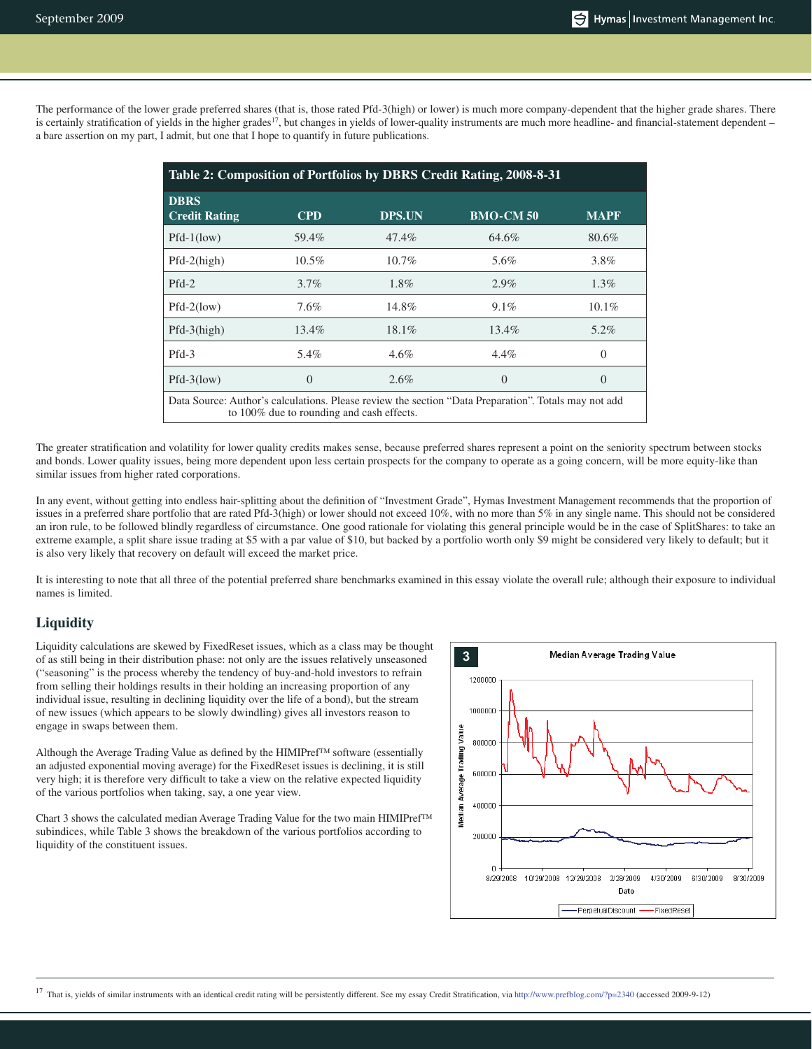The performance of the lower grade preferred shares (that is, those rated Pfd-3(high) or lower) is much more company-dependent that the higher grade shares. There is certainly stratification of yields in the higher grades<sup>17</sup>, but changes in yields of lower-quality instruments are much more headline- and financial-statement dependent – a bare assertion on my part, I admit, but one that I hope to quantify in future publications.

| Table 2: Composition of Portfolios by DBRS Credit Rating, 2008-8-31                                                                               |            |               |                  |                  |  |
|---------------------------------------------------------------------------------------------------------------------------------------------------|------------|---------------|------------------|------------------|--|
| <b>DBRS</b><br><b>Credit Rating</b>                                                                                                               | <b>CPD</b> | <b>DPS.UN</b> | <b>BMO-CM 50</b> | <b>MAPF</b>      |  |
| $Pfd-1(low)$                                                                                                                                      | 59.4%      | 47.4%         | 64.6%            | 80.6%            |  |
| $Pfd-2(high)$                                                                                                                                     | $10.5\%$   | $10.7\%$      | 5.6%             | 3.8%             |  |
| $Pfd-2$                                                                                                                                           | $3.7\%$    | $1.8\%$       | 2.9%             | $1.3\%$          |  |
| $Pfd-2(low)$                                                                                                                                      | 7.6%       | 14.8%         | $9.1\%$          | $10.1\%$         |  |
| $Pfd-3(high)$                                                                                                                                     | $13.4\%$   | $18.1\%$      | 13.4%            | $5.2\%$          |  |
| $Pfd-3$                                                                                                                                           | 5.4%       | $4.6\%$       | $4.4\%$          | $\left( \right)$ |  |
| $Pfd-3(low)$                                                                                                                                      | $\Omega$   | $2.6\%$       | $\Omega$         | $\left( \right)$ |  |
| Data Source: Author's calculations. Please review the section "Data Preparation". Totals may not add<br>to 100% due to rounding and cash effects. |            |               |                  |                  |  |

The greater stratification and volatility for lower quality credits makes sense, because preferred shares represent a point on the seniority spectrum between stocks and bonds. Lower quality issues, being more dependent upon less certain prospects for the company to operate as a going concern, will be more equity-like than similar issues from higher rated corporations.

In any event, without getting into endless hair-splitting about the definition of "Investment Grade", Hymas Investment Management recommends that the proportion of issues in a preferred share portfolio that are rated Pfd-3(high) or lower should not exceed 10%, with no more than 5% in any single name. This should not be considered an iron rule, to be followed blindly regardless of circumstance. One good rationale for violating this general principle would be in the case of SplitShares: to take an extreme example, a split share issue trading at \$5 with a par value of \$10, but backed by a portfolio worth only \$9 might be considered very likely to default; but it is also very likely that recovery on default will exceed the market price.

It is interesting to note that all three of the potential preferred share benchmarks examined in this essay violate the overall rule; although their exposure to individual names is limited.

### **Liquidity**

Liquidity calculations are skewed by FixedReset issues, which as a class may be thought of as still being in their distribution phase: not only are the issues relatively unseasoned ("seasoning" is the process whereby the tendency of buy-and-hold investors to refrain from selling their holdings results in their holding an increasing proportion of any individual issue, resulting in declining liquidity over the life of a bond), but the stream of new issues (which appears to be slowly dwindling) gives all investors reason to engage in swaps between them.

Although the Average Trading Value as defined by the HIMIPref™ software (essentially an adjusted exponential moving average) for the FixedReset issues is declining, it is still very high; it is therefore very difficult to take a view on the relative expected liquidity of the various portfolios when taking, say, a one year view.

Chart 3 shows the calculated median Average Trading Value for the two main HIMIPref™ subindices, while Table 3 shows the breakdown of the various portfolios according to liquidity of the constituent issues.

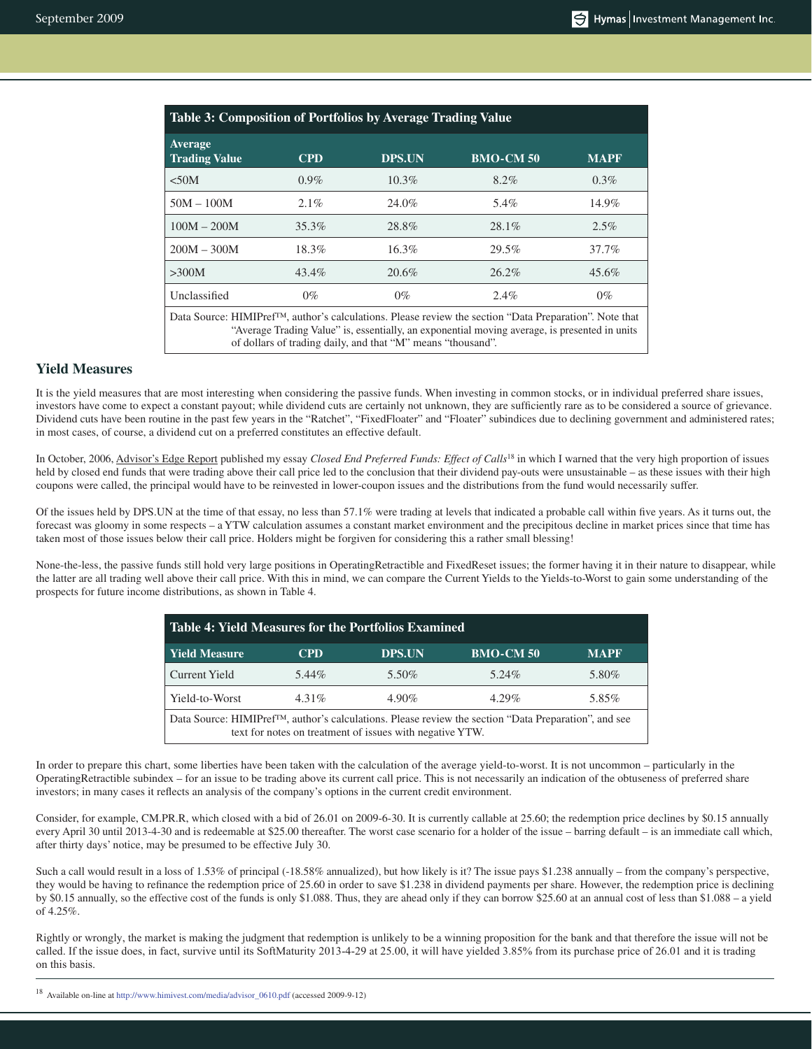| Table 3: Composition of Portfolios by Average Trading Value                                                                                                                                                                                                                         |            |               |                  |             |  |
|-------------------------------------------------------------------------------------------------------------------------------------------------------------------------------------------------------------------------------------------------------------------------------------|------------|---------------|------------------|-------------|--|
| Average<br><b>Trading Value</b>                                                                                                                                                                                                                                                     | <b>CPD</b> | <b>DPS.UN</b> | <b>BMO-CM 50</b> | <b>MAPF</b> |  |
| < 50M                                                                                                                                                                                                                                                                               | $0.9\%$    | $10.3\%$      | $8.2\%$          | $0.3\%$     |  |
| $50M - 100M$                                                                                                                                                                                                                                                                        | $2.1\%$    | 24.0%         | 5.4%             | 14.9%       |  |
| $100M - 200M$                                                                                                                                                                                                                                                                       | 35.3%      | 28.8%         | $28.1\%$         | $2.5\%$     |  |
| $200M - 300M$                                                                                                                                                                                                                                                                       | 18.3%      | $16.3\%$      | 29.5%            | 37.7%       |  |
| >300M                                                                                                                                                                                                                                                                               | 43.4%      | 20.6%         | $26.2\%$         | 45.6%       |  |
| Unclassified                                                                                                                                                                                                                                                                        | $0\%$      | $0\%$         | $2.4\%$          | $0\%$       |  |
| Data Source: HIMIPref <sup>™</sup> , author's calculations. Please review the section "Data Preparation". Note that<br>"Average Trading Value" is, essentially, an exponential moving average, is presented in units<br>of dollars of trading daily, and that "M" means "thousand". |            |               |                  |             |  |

## **Yield Measures**

It is the yield measures that are most interesting when considering the passive funds. When investing in common stocks, or in individual preferred share issues, investors have come to expect a constant payout; while dividend cuts are certainly not unknown, they are sufficiently rare as to be considered a source of grievance. Dividend cuts have been routine in the past few years in the "Ratchet", "FixedFloater" and "Floater" subindices due to declining government and administered rates; in most cases, of course, a dividend cut on a preferred constitutes an effective default.

In October, 2006, Advisor's Edge Report published my essay *Closed End Preferred Funds: Effect of Calls*18 in which I warned that the very high proportion of issues held by closed end funds that were trading above their call price led to the conclusion that their dividend pay-outs were unsustainable – as these issues with their high coupons were called, the principal would have to be reinvested in lower-coupon issues and the distributions from the fund would necessarily suffer.

Of the issues held by DPS.UN at the time of that essay, no less than 57.1% were trading at levels that indicated a probable call within five years. As it turns out, the forecast was gloomy in some respects – a YTW calculation assumes a constant market environment and the precipitous decline in market prices since that time has taken most of those issues below their call price. Holders might be forgiven for considering this a rather small blessing!

None-the-less, the passive funds still hold very large positions in OperatingRetractible and FixedReset issues; the former having it in their nature to disappear, while the latter are all trading well above their call price. With this in mind, we can compare the Current Yields to the Yields-to-Worst to gain some understanding of the prospects for future income distributions, as shown in Table 4.

| <b>Table 4: Yield Measures for the Portfolios Examined</b>                                                                                                                     |            |               |                  |             |  |
|--------------------------------------------------------------------------------------------------------------------------------------------------------------------------------|------------|---------------|------------------|-------------|--|
| <b>Yield Measure</b>                                                                                                                                                           | <b>CPD</b> | <b>DPS.UN</b> | <b>BMO-CM 50</b> | <b>MAPF</b> |  |
| <b>Current Yield</b>                                                                                                                                                           | 5.44%      | 5.50%         | 5.24%            | 5.80%       |  |
| Yield-to-Worst                                                                                                                                                                 | $4.31\%$   | $4.90\%$      | $4.29\%$         | 5.85%       |  |
| Data Source: HIMIPref <sup>TM</sup> , author's calculations. Please review the section "Data Preparation", and see<br>text for notes on treatment of issues with negative YTW. |            |               |                  |             |  |

In order to prepare this chart, some liberties have been taken with the calculation of the average yield-to-worst. It is not uncommon – particularly in the OperatingRetractible subindex – for an issue to be trading above its current call price. This is not necessarily an indication of the obtuseness of preferred share investors; in many cases it reflects an analysis of the company's options in the current credit environment.

Consider, for example, CM.PR.R, which closed with a bid of 26.01 on 2009-6-30. It is currently callable at 25.60; the redemption price declines by \$0.15 annually every April 30 until 2013-4-30 and is redeemable at \$25.00 thereafter. The worst case scenario for a holder of the issue – barring default – is an immediate call which, after thirty days' notice, may be presumed to be effective July 30.

Such a call would result in a loss of 1.53% of principal (-18.58% annualized), but how likely is it? The issue pays \$1.238 annually – from the company's perspective, they would be having to refinance the redemption price of 25.60 in order to save \$1.238 in dividend payments per share. However, the redemption price is declining by \$0.15 annually, so the effective cost of the funds is only \$1.088. Thus, they are ahead only if they can borrow \$25.60 at an annual cost of less than \$1.088 – a yield of 4.25%.

Rightly or wrongly, the market is making the judgment that redemption is unlikely to be a winning proposition for the bank and that therefore the issue will not be called. If the issue does, in fact, survive until its SoftMaturity 2013-4-29 at 25.00, it will have yielded 3.85% from its purchase price of 26.01 and it is trading on this basis.

<sup>18</sup> Available on-line at http://www.himivest.com/media/advisor\_0610.pdf (accessed 2009-9-12)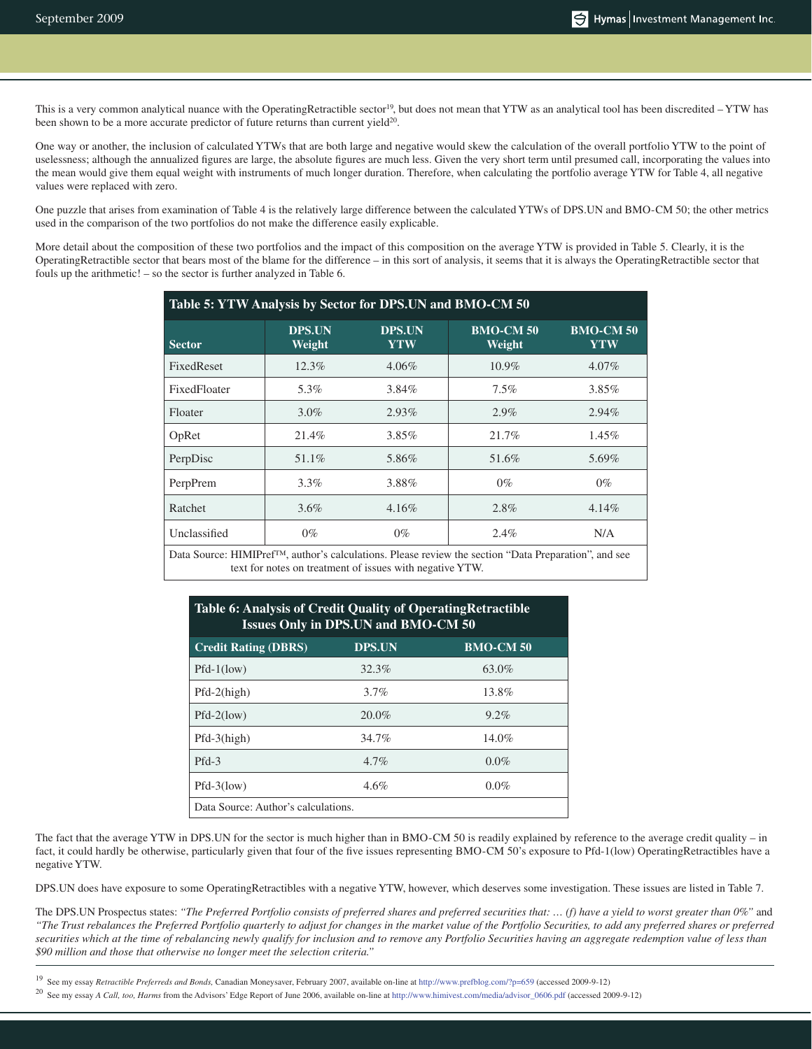This is a very common analytical nuance with the OperatingRetractible sector<sup>19</sup>, but does not mean that YTW as an analytical tool has been discredited – YTW has been shown to be a more accurate predictor of future returns than current yield $20$ .

One way or another, the inclusion of calculated YTWs that are both large and negative would skew the calculation of the overall portfolio YTW to the point of uselessness; although the annualized figures are large, the absolute figures are much less. Given the very short term until presumed call, incorporating the values into the mean would give them equal weight with instruments of much longer duration. Therefore, when calculating the portfolio average YTW for Table 4, all negative values were replaced with zero.

One puzzle that arises from examination of Table 4 is the relatively large difference between the calculated YTWs of DPS.UN and BMO-CM 50; the other metrics used in the comparison of the two portfolios do not make the difference easily explicable.

More detail about the composition of these two portfolios and the impact of this composition on the average YTW is provided in Table 5. Clearly, it is the OperatingRetractible sector that bears most of the blame for the difference – in this sort of analysis, it seems that it is always the OperatingRetractible sector that fouls up the arithmetic! – so the sector is further analyzed in Table 6.

| Table 5: YTW Analysis by Sector for DPS.UN and BMO-CM 50 |                         |                      |                            |                         |  |
|----------------------------------------------------------|-------------------------|----------------------|----------------------------|-------------------------|--|
| <b>Sector</b>                                            | <b>DPS.UN</b><br>Weight | <b>DPS.UN</b><br>YTW | <b>BMO-CM 50</b><br>Weight | <b>BMO-CM 50</b><br>YTW |  |
| FixedReset                                               | 12.3%                   | $4.06\%$             | $10.9\%$                   | $4.07\%$                |  |
| FixedFloater                                             | 5.3%                    | $3.84\%$             | 7.5%                       | $3.85\%$                |  |
| Floater                                                  | $3.0\%$                 | $2.93\%$             | 2.9%                       | 2.94%                   |  |
| OpRet                                                    | 21.4%                   | 3.85%                | 21.7%                      | $1.45\%$                |  |
| PerpDisc                                                 | 51.1%                   | 5.86%                | 51.6%                      | 5.69%                   |  |
| PerpPrem                                                 | $3.3\%$                 | 3.88%                | $0\%$                      | $0\%$                   |  |
| Ratchet                                                  | $3.6\%$                 | $4.16\%$             | 2.8%                       | $4.14\%$                |  |
| Unclassified                                             | $0\%$                   | $0\%$                | 2.4%                       | N/A                     |  |

Data Source: HIMIPref™, author's calculations. Please review the section "Data Preparation", and see text for notes on treatment of issues with negative YTW.

## **Table 6: Analysis of Credit Quality of OperatingRetractible Issues Only in DPS.UN and BMO-CM 50**

| <b>Credit Rating (DBRS)</b>         | <b>DPS.UN</b> | <b>BMO-CM 50</b> |  |  |
|-------------------------------------|---------------|------------------|--|--|
| $Pfd-1(low)$                        | 32.3%         | 63.0%            |  |  |
| $Pfd-2(high)$                       | 3.7%          | 13.8%            |  |  |
| $Pfd-2(low)$                        | 20.0%         | 9.2%             |  |  |
| $Pfd-3(high)$                       | 34.7%         | 14.0%            |  |  |
| $Pfd-3$                             | 4.7%          | $0.0\%$          |  |  |
| $Pfd-3(low)$                        | 4.6%          | $0.0\%$          |  |  |
| Data Source: Author's calculations. |               |                  |  |  |

The fact that the average YTW in DPS.UN for the sector is much higher than in BMO-CM 50 is readily explained by reference to the average credit quality – in fact, it could hardly be otherwise, particularly given that four of the five issues representing BMO-CM 50's exposure to Pfd-1(low) OperatingRetractibles have a negative YTW.

DPS.UN does have exposure to some OperatingRetractibles with a negative YTW, however, which deserves some investigation. These issues are listed in Table 7.

The DPS.UN Prospectus states: "The Preferred Portfolio consists of preferred shares and preferred securities that: ... (f) have a yield to worst greater than 0%" and *"The Trust rebalances the Preferred Portfolio quarterly to adjust for changes in the market value of the Portfolio Securities, to add any preferred shares or preferred securities which at the time of rebalancing newly qualify for inclusion and to remove any Portfolio Securities having an aggregate redemption value of less than \$90 million and those that otherwise no longer meet the selection criteria."*

19 See my essay *Retractible Preferreds and Bonds,* Canadian Moneysaver, February 2007, available on-line at http://www.prefblog.com/?p=659 (accessed 2009-9-12)

20 See my essay *A Call, too, Harms* from the Advisors' Edge Report of June 2006, available on-line at http://www.himivest.com/media/advisor\_0606.pdf (accessed 2009-9-12)